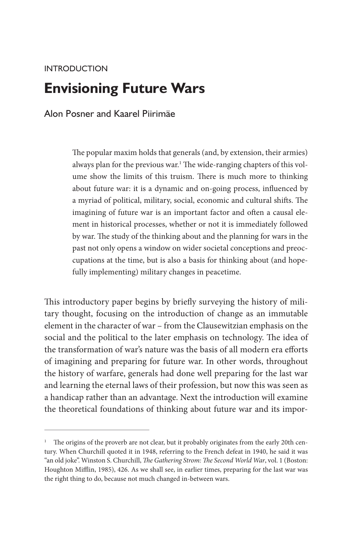# **INTRODUCTION Envisioning Future Wars**

Alon Posner and Kaarel Piirimäe

The popular maxim holds that generals (and, by extension, their armies) always plan for the previous war.<sup>1</sup> The wide-ranging chapters of this volume show the limits of this truism. There is much more to thinking about future war: it is a dynamic and on-going process, influenced by a myriad of political, military, social, economic and cultural shifts. The imagining of future war is an important factor and often a causal element in historical processes, whether or not it is immediately followed by war. The study of the thinking about and the planning for wars in the past not only opens a window on wider societal conceptions and preoccupations at the time, but is also a basis for thinking about (and hopefully implementing) military changes in peacetime.

This introductory paper begins by briefly surveying the history of military thought, focusing on the introduction of change as an immutable element in the character of war – from the Clausewitzian emphasis on the social and the political to the later emphasis on technology. The idea of the transformation of war's nature was the basis of all modern era efforts of imagining and preparing for future war. In other words, throughout the history of warfare, generals had done well preparing for the last war and learning the eternal laws of their profession, but now this was seen as a handicap rather than an advantage. Next the introduction will examine the theoretical foundations of thinking about future war and its impor-

<sup>&</sup>lt;sup>1</sup> The origins of the proverb are not clear, but it probably originates from the early 20th century. When Churchill quoted it in 1948, referring to the French defeat in 1940, he said it was "an old joke". Winston S. Churchill, *The Gathering Strom: The Second World War*, vol. 1 (Boston: Houghton Mifflin, 1985), 426. As we shall see, in earlier times, preparing for the last war was the right thing to do, because not much changed in-between wars.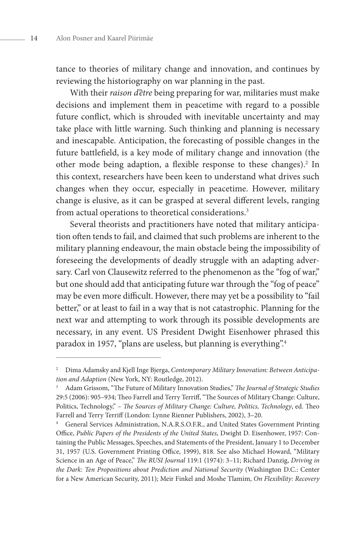tance to theories of military change and innovation, and continues by reviewing the historiography on war planning in the past.

With their *raison d'être* being preparing for war, militaries must make decisions and implement them in peacetime with regard to a possible future conflict, which is shrouded with inevitable uncertainty and may take place with little warning. Such thinking and planning is necessary and inescapable. Anticipation, the forecasting of possible changes in the future battlefield, is a key mode of military change and innovation (the other mode being adaption, a flexible response to these changes).<sup>2</sup> In this context, researchers have been keen to understand what drives such changes when they occur, especially in peacetime. However, military change is elusive, as it can be grasped at several different levels, ranging from actual operations to theoretical considerations.<sup>3</sup>

Several theorists and practitioners have noted that military anticipation often tends to fail, and claimed that such problems are inherent to the military planning endeavour, the main obstacle being the impossibility of foreseeing the developments of deadly struggle with an adapting adversary. Carl von Clausewitz referred to the phenomenon as the "fog of war," but one should add that anticipating future war through the "fog of peace" may be even more difficult. However, there may yet be a possibility to "fail better," or at least to fail in a way that is not catastrophic. Planning for the next war and attempting to work through its possible developments are necessary, in any event. US President Dwight Eisenhower phrased this paradox in 1957, "plans are useless, but planning is everything".<sup>4</sup>

<sup>2</sup> Dima Adamsky and Kjell Inge Bjerga, *Contemporary Military Innovation: Between Anticipation and Adaption* (New York, NY: Routledge, 2012).

<sup>3</sup> Adam Grissom, "The Future of Military Innovation Studies," *The Journal of Strategic Studies* 29:5 (2006): 905–934; Theo Farrell and Terry Terriff, "The Sources of Military Change: Culture, Politics, Technology," – *The Sources of Military Change: Culture, Politics, Technology*, ed. Theo Farrell and Terry Terriff (London: Lynne Rienner Publishers, 2002), 3–20.

<sup>4</sup> General Services Administration, N.A.R.S.O.F.R., and United States Government Printing Office, *Public Papers of the Presidents of the United States*, Dwight D. Eisenhower, 1957: Containing the Public Messages, Speeches, and Statements of the President, January 1 to December 31, 1957 (U.S. Government Printing Office, 1999), 818. See also Michael Howard, "Military Science in an Age of Peace," *The RUSI Journal* 119:1 (1974): 3–11; Richard Danzig, *Driving in the Dark: Ten Propositions about Prediction and National Security* (Washington D.C.: Center for a New American Security, 2011); Meir Finkel and Moshe Tlamim, *On Flexibility: Recovery*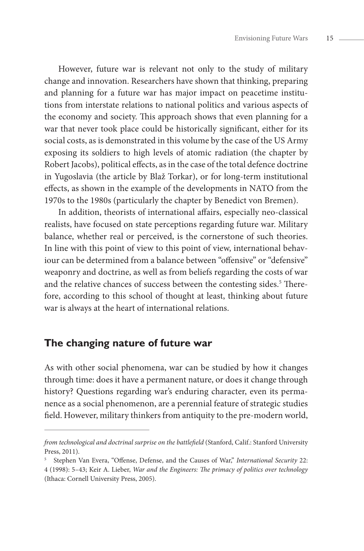However, future war is relevant not only to the study of military change and innovation. Researchers have shown that thinking, preparing and planning for a future war has major impact on peacetime institutions from interstate relations to national politics and various aspects of the economy and society. This approach shows that even planning for a war that never took place could be historically significant, either for its social costs, as is demonstrated in this volume by the case of the US Army exposing its soldiers to high levels of atomic radiation (the chapter by Robert Jacobs), political effects, as in the case of the total defence doctrine in Yugoslavia (the article by Blaž Torkar), or for long-term institutional effects, as shown in the example of the developments in NATO from the 1970s to the 1980s (particularly the chapter by Benedict von Bremen).

In addition, theorists of international affairs, especially neo-classical realists, have focused on state perceptions regarding future war. Military balance, whether real or perceived, is the cornerstone of such theories. In line with this point of view to this point of view, international behaviour can be determined from a balance between "offensive" or "defensive" weaponry and doctrine, as well as from beliefs regarding the costs of war and the relative chances of success between the contesting sides.<sup>5</sup> Therefore, according to this school of thought at least, thinking about future war is always at the heart of international relations.

## **The changing nature of future war**

As with other social phenomena, war can be studied by how it changes through time: does it have a permanent nature, or does it change through history? Questions regarding war's enduring character, even its permanence as a social phenomenon, are a perennial feature of strategic studies field. However, military thinkers from antiquity to the pre-modern world,

*from technological and doctrinal surprise on the battlefield* (Stanford, Calif.: Stanford University Press, 2011).

<sup>5</sup> Stephen Van Evera, "Offense, Defense, and the Causes of War," *International Security* 22: 4 (1998): 5–43; Keir A. Lieber, *War and the Engineers: The primacy of politics over technology* (Ithaca: Cornell University Press, 2005).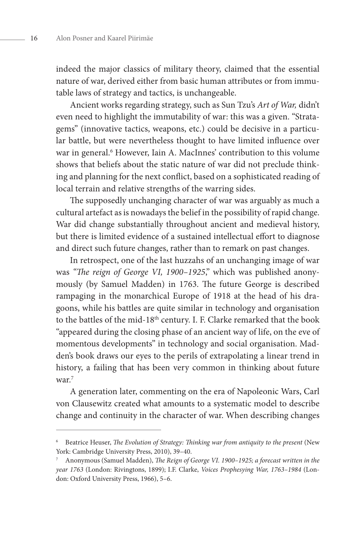indeed the major classics of military theory, claimed that the essential nature of war, derived either from basic human attributes or from immutable laws of strategy and tactics, is unchangeable.

Ancient works regarding strategy, such as Sun Tzu's *Art of War,* didn't even need to highlight the immutability of war: this was a given. "Stratagems" (innovative tactics, weapons, etc.) could be decisive in a particular battle, but were nevertheless thought to have limited influence over war in general.<sup>6</sup> However, Iain A. MacInnes' contribution to this volume shows that beliefs about the static nature of war did not preclude thinking and planning for the next conflict, based on a sophisticated reading of local terrain and relative strengths of the warring sides.

The supposedly unchanging character of war was arguably as much a cultural artefact as is nowadays the belief in the possibility of rapid change. War did change substantially throughout ancient and medieval history, but there is limited evidence of a sustained intellectual effort to diagnose and direct such future changes, rather than to remark on past changes.

In retrospect, one of the last huzzahs of an unchanging image of war was *"The reign of George VI, 1900–1925*," which was published anonymously (by Samuel Madden) in 1763. The future George is described rampaging in the monarchical Europe of 1918 at the head of his dragoons, while his battles are quite similar in technology and organisation to the battles of the mid-18<sup>th</sup> century. I. F. Clarke remarked that the book "appeared during the closing phase of an ancient way of life, on the eve of momentous developments" in technology and social organisation. Madden's book draws our eyes to the perils of extrapolating a linear trend in history, a failing that has been very common in thinking about future war.7

A generation later, commenting on the era of Napoleonic Wars, Carl von Clausewitz created what amounts to a systematic model to describe change and continuity in the character of war. When describing changes

<sup>6</sup> Beatrice Heuser, *The Evolution of Strategy: Thinking war from antiquity to the present* (New York: Cambridge University Press, 2010), 39–40.

<sup>7</sup> Anonymous (Samuel Madden), *The Reign of George VI. 1900–1925; a forecast written in the year 1763* (London: Rivingtons, 1899); I.F. Clarke, *Voices Prophesying War, 1763–1984* (London: Oxford University Press, 1966), 5–6.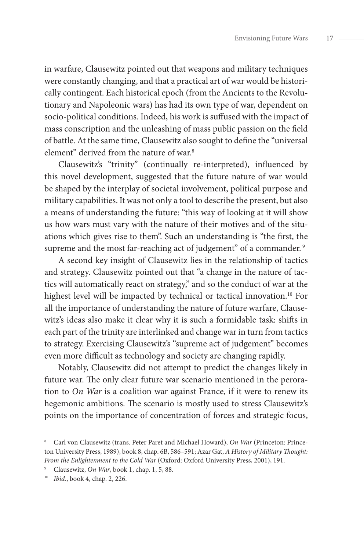in warfare, Clausewitz pointed out that weapons and military techniques were constantly changing, and that a practical art of war would be historically contingent. Each historical epoch (from the Ancients to the Revolutionary and Napoleonic wars) has had its own type of war, dependent on socio-political conditions. Indeed, his work is suffused with the impact of mass conscription and the unleashing of mass public passion on the field of battle. At the same time, Clausewitz also sought to define the "universal element" derived from the nature of war.<sup>8</sup>

Clausewitz's "trinity" (continually re-interpreted), influenced by this novel development, suggested that the future nature of war would be shaped by the interplay of societal involvement, political purpose and military capabilities. It was not only a tool to describe the present, but also a means of understanding the future: "this way of looking at it will show us how wars must vary with the nature of their motives and of the situations which gives rise to them". Such an understanding is "the first, the supreme and the most far-reaching act of judgement" of a commander.<sup>9</sup>

A second key insight of Clausewitz lies in the relationship of tactics and strategy. Clausewitz pointed out that "a change in the nature of tactics will automatically react on strategy," and so the conduct of war at the highest level will be impacted by technical or tactical innovation.<sup>10</sup> For all the importance of understanding the nature of future warfare, Clausewitz's ideas also make it clear why it is such a formidable task: shifts in each part of the trinity are interlinked and change war in turn from tactics to strategy. Exercising Clausewitz's "supreme act of judgement" becomes even more difficult as technology and society are changing rapidly.

Notably, Clausewitz did not attempt to predict the changes likely in future war. The only clear future war scenario mentioned in the peroration to *On War* is a coalition war against France, if it were to renew its hegemonic ambitions. The scenario is mostly used to stress Clausewitz's points on the importance of concentration of forces and strategic focus,

<sup>8</sup> Carl von Clausewitz (trans. Peter Paret and Michael Howard), *On War* (Princeton: Princeton University Press, 1989), book 8, chap. 6B, 586–591; Azar Gat, *A History of Military Thought: From the Enlightenment to the Cold War* (Oxford: Oxford University Press, 2001), 191.

<sup>9</sup> Clausewitz, *On War*, book 1, chap. 1, 5, 88.

<sup>10</sup> *Ibid.*, book 4, chap. 2, 226.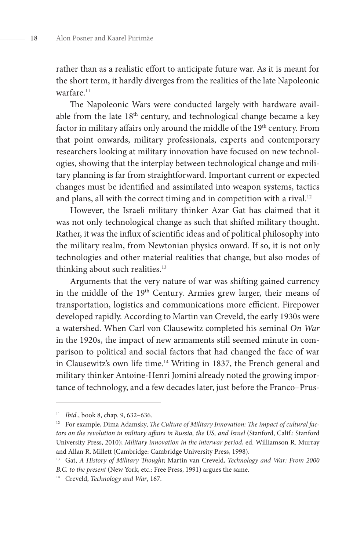rather than as a realistic effort to anticipate future war. As it is meant for the short term, it hardly diverges from the realities of the late Napoleonic warfare.<sup>11</sup>

The Napoleonic Wars were conducted largely with hardware available from the late 18<sup>th</sup> century, and technological change became a key factor in military affairs only around the middle of the 19<sup>th</sup> century. From that point onwards, military professionals, experts and contemporary researchers looking at military innovation have focused on new technologies, showing that the interplay between technological change and military planning is far from straightforward. Important current or expected changes must be identified and assimilated into weapon systems, tactics and plans, all with the correct timing and in competition with a rival.<sup>12</sup>

However, the Israeli military thinker Azar Gat has claimed that it was not only technological change as such that shifted military thought. Rather, it was the influx of scientific ideas and of political philosophy into the military realm, from Newtonian physics onward. If so, it is not only technologies and other material realities that change, but also modes of thinking about such realities.<sup>13</sup>

Arguments that the very nature of war was shifting gained currency in the middle of the 19<sup>th</sup> Century. Armies grew larger, their means of transportation, logistics and communications more efficient. Firepower developed rapidly. According to Martin van Creveld, the early 1930s were a watershed. When Carl von Clausewitz completed his seminal *On War*  in the 1920s, the impact of new armaments still seemed minute in comparison to political and social factors that had changed the face of war in Clausewitz's own life time.14 Writing in 1837, the French general and military thinker Antoine-Henri Jomini already noted the growing importance of technology, and a few decades later, just before the Franco–Prus-

<sup>11</sup> *Ibid.*, book 8, chap. 9, 632–636.

<sup>&</sup>lt;sup>12</sup> For example, Dima Adamsky, *The Culture of Military Innovation: The impact of cultural factors on the revolution in military affairs in Russia, the US, and Israel* (Stanford, Calif.: Stanford University Press, 2010); *Military innovation in the interwar period*, ed. Williamson R. Murray and Allan R. Millett (Cambridge: Cambridge University Press, 1998).

<sup>13</sup> Gat, *A History of Military Thought*; Martin van Creveld, *Technology and War: From 2000 B.C. to the present* (New York, etc.: Free Press, 1991) argues the same.

<sup>14</sup> Creveld, *Technology and War*, 167.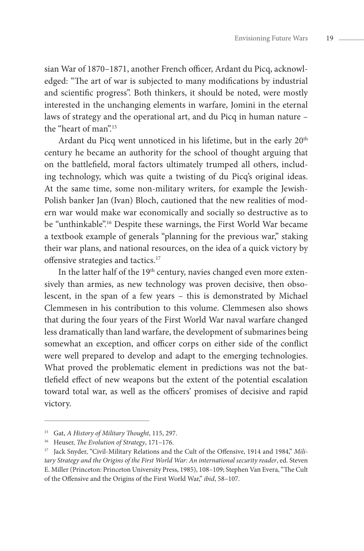sian War of 1870–1871, another French officer, Ardant du Picq, acknowledged: "The art of war is subjected to many modifications by industrial and scientific progress". Both thinkers, it should be noted, were mostly interested in the unchanging elements in warfare, Jomini in the eternal laws of strategy and the operational art, and du Picq in human nature – the "heart of man".<sup>15</sup>

Ardant du Picq went unnoticed in his lifetime, but in the early 20<sup>th</sup> century he became an authority for the school of thought arguing that on the battlefield, moral factors ultimately trumped all others, including technology, which was quite a twisting of du Picq's original ideas. At the same time, some non-military writers, for example the Jewish-Polish banker Jan (Ivan) Bloch, cautioned that the new realities of modern war would make war economically and socially so destructive as to be "unthinkable".<sup>16</sup> Despite these warnings, the First World War became a textbook example of generals "planning for the previous war," staking their war plans, and national resources, on the idea of a quick victory by offensive strategies and tactics.17

In the latter half of the 19<sup>th</sup> century, navies changed even more extensively than armies, as new technology was proven decisive, then obsolescent, in the span of a few years – this is demonstrated by Michael Clemmesen in his contribution to this volume. Clemmesen also shows that during the four years of the First World War naval warfare changed less dramatically than land warfare, the development of submarines being somewhat an exception, and officer corps on either side of the conflict were well prepared to develop and adapt to the emerging technologies. What proved the problematic element in predictions was not the battlefield effect of new weapons but the extent of the potential escalation toward total war, as well as the officers' promises of decisive and rapid victory.

<sup>15</sup> Gat, *A History of Military Thought*, 115, 297.

<sup>16</sup> Heuser, *The Evolution of Strategy*, 171–176.

<sup>&</sup>lt;sup>17</sup> Jack Snyder, "Civil-Military Relations and the Cult of the Offensive, 1914 and 1984," Mili*tary Strategy and the Origins of the First World War: An international security reader*, ed. Steven E. Miller (Princeton: Princeton University Press, 1985), 108–109; Stephen Van Evera, "The Cult of the Offensive and the Origins of the First World War," *ibid*, 58–107.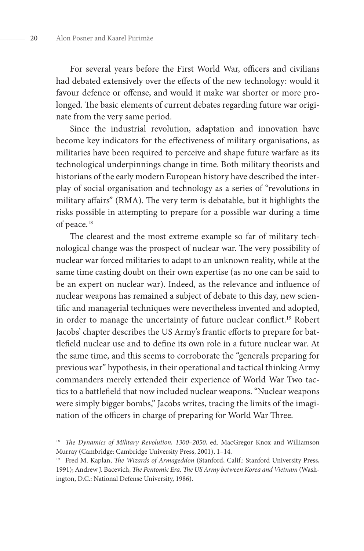For several years before the First World War, officers and civilians had debated extensively over the effects of the new technology: would it favour defence or offense, and would it make war shorter or more prolonged. The basic elements of current debates regarding future war originate from the very same period.

Since the industrial revolution, adaptation and innovation have become key indicators for the effectiveness of military organisations, as militaries have been required to perceive and shape future warfare as its technological underpinnings change in time. Both military theorists and historians of the early modern European history have described the interplay of social organisation and technology as a series of "revolutions in military affairs" (RMA). The very term is debatable, but it highlights the risks possible in attempting to prepare for a possible war during a time of peace.<sup>18</sup>

The clearest and the most extreme example so far of military technological change was the prospect of nuclear war. The very possibility of nuclear war forced militaries to adapt to an unknown reality, while at the same time casting doubt on their own expertise (as no one can be said to be an expert on nuclear war). Indeed, as the relevance and influence of nuclear weapons has remained a subject of debate to this day, new scientific and managerial techniques were nevertheless invented and adopted, in order to manage the uncertainty of future nuclear conflict.<sup>19</sup> Robert Jacobs' chapter describes the US Army's frantic efforts to prepare for battlefield nuclear use and to define its own role in a future nuclear war. At the same time, and this seems to corroborate the "generals preparing for previous war" hypothesis, in their operational and tactical thinking Army commanders merely extended their experience of World War Two tactics to a battlefield that now included nuclear weapons. "Nuclear weapons were simply bigger bombs," Jacobs writes, tracing the limits of the imagination of the officers in charge of preparing for World War Three.

<sup>&</sup>lt;sup>18</sup> *The Dynamics of Military Revolution, 1300-2050, ed. MacGregor Knox and Williamson* Murray (Cambridge: Cambridge University Press, 2001), 1–14.

<sup>19</sup> Fred M. Kaplan, *The Wizards of Armageddon* (Stanford, Calif.: Stanford University Press, 1991); Andrew J. Bacevich, *The Pentomic Era. The US Army between Korea and Vietnam* (Washington, D.C.: National Defense University, 1986).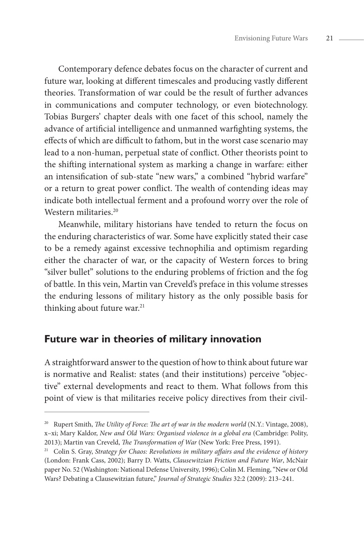Contemporary defence debates focus on the character of current and future war, looking at different timescales and producing vastly different theories. Transformation of war could be the result of further advances in communications and computer technology, or even biotechnology. Tobias Burgers' chapter deals with one facet of this school, namely the advance of artificial intelligence and unmanned warfighting systems, the effects of which are difficult to fathom, but in the worst case scenario may lead to a non-human, perpetual state of conflict. Other theorists point to the shifting international system as marking a change in warfare: either an intensification of sub-state "new wars," a combined "hybrid warfare" or a return to great power conflict. The wealth of contending ideas may indicate both intellectual ferment and a profound worry over the role of Western militaries.<sup>20</sup>

Meanwhile, military historians have tended to return the focus on the enduring characteristics of war. Some have explicitly stated their case to be a remedy against excessive technophilia and optimism regarding either the character of war, or the capacity of Western forces to bring "silver bullet" solutions to the enduring problems of friction and the fog of battle. In this vein, Martin van Creveld's preface in this volume stresses the enduring lessons of military history as the only possible basis for thinking about future war.<sup>21</sup>

## **Future war in theories of military innovation**

A straightforward answer to the question of how to think about future war is normative and Realist: states (and their institutions) perceive "objective" external developments and react to them. What follows from this point of view is that militaries receive policy directives from their civil-

<sup>&</sup>lt;sup>20</sup> Rupert Smith, *The Utility of Force: The art of war in the modern world* (N.Y.: Vintage, 2008), x–xi; Mary Kaldor, *New and Old Wars: Organised violence in a global era* (Cambridge: Polity, 2013); Martin van Creveld, *The Transformation of War* (New York: Free Press, 1991).

<sup>&</sup>lt;sup>21</sup> Colin S. Gray, *Strategy for Chaos: Revolutions in military affairs and the evidence of history* (London: Frank Cass, 2002); Barry D. Watts, *Clausewitzian Friction and Future War*, McNair paper No. 52 (Washington: National Defense University, 1996); Colin M. Fleming, "New or Old Wars? Debating a Clausewitzian future," *Journal of Strategic Studies* 32:2 (2009): 213–241.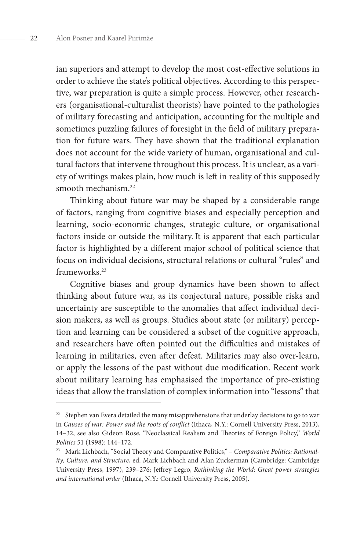ian superiors and attempt to develop the most cost-effective solutions in order to achieve the state's political objectives. According to this perspective, war preparation is quite a simple process. However, other researchers (organisational-culturalist theorists) have pointed to the pathologies of military forecasting and anticipation, accounting for the multiple and sometimes puzzling failures of foresight in the field of military preparation for future wars. They have shown that the traditional explanation does not account for the wide variety of human, organisational and cultural factors that intervene throughout this process. It is unclear, as a variety of writings makes plain, how much is left in reality of this supposedly smooth mechanism.22

Thinking about future war may be shaped by a considerable range of factors, ranging from cognitive biases and especially perception and learning, socio-economic changes, strategic culture, or organisational factors inside or outside the military. It is apparent that each particular factor is highlighted by a different major school of political science that focus on individual decisions, structural relations or cultural "rules" and frameworks.23

Cognitive biases and group dynamics have been shown to affect thinking about future war, as its conjectural nature, possible risks and uncertainty are susceptible to the anomalies that affect individual decision makers, as well as groups. Studies about state (or military) perception and learning can be considered a subset of the cognitive approach, and researchers have often pointed out the difficulties and mistakes of learning in militaries, even after defeat. Militaries may also over-learn, or apply the lessons of the past without due modification. Recent work about military learning has emphasised the importance of pre-existing ideas that allow the translation of complex information into "lessons" that

 $22$  Stephen van Evera detailed the many misapprehensions that underlay decisions to go to war in *Causes of war: Power and the roots of conflict* (Ithaca, N.Y.: Cornell University Press, 2013), 14–32, see also Gideon Rose, "Neoclassical Realism and Theories of Foreign Policy," *World Politics* 51 (1998): 144–172.

<sup>23</sup> Mark Lichbach, "Social Theory and Comparative Politics," – *Comparative Politics: Rationality, Culture, and Structure*, ed. Mark Lichbach and Alan Zuckerman (Cambridge: Cambridge University Press, 1997), 239–276; Jeffrey Legro, *Rethinking the World: Great power strategies and international order* (Ithaca, N.Y.: Cornell University Press, 2005).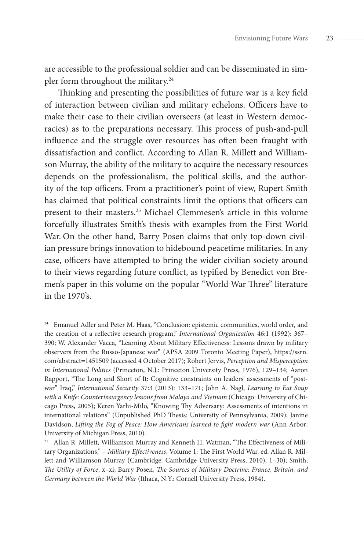are accessible to the professional soldier and can be disseminated in simpler form throughout the military.<sup>24</sup>

Thinking and presenting the possibilities of future war is a key field of interaction between civilian and military echelons. Officers have to make their case to their civilian overseers (at least in Western democracies) as to the preparations necessary. This process of push-and-pull influence and the struggle over resources has often been fraught with dissatisfaction and conflict. According to Allan R. Millett and Williamson Murray, the ability of the military to acquire the necessary resources depends on the professionalism, the political skills, and the authority of the top officers. From a practitioner's point of view, Rupert Smith has claimed that political constraints limit the options that officers can present to their masters.25 Michael Clemmesen's article in this volume forcefully illustrates Smith's thesis with examples from the First World War. On the other hand, Barry Posen claims that only top-down civilian pressure brings innovation to hidebound peacetime militaries. In any case, officers have attempted to bring the wider civilian society around to their views regarding future conflict, as typified by Benedict von Bremen's paper in this volume on the popular "World War Three" literature in the 1970's.

<sup>&</sup>lt;sup>24</sup> Emanuel Adler and Peter M. Haas, "Conclusion: epistemic communities, world order, and the creation of a reflective research program," *International Organization* 46:1 (1992): 367– 390; W. Alexander Vacca, "Learning About Military Effectiveness: Lessons drawn by military observers from the Russo-Japanese war" (APSA 2009 Toronto Meeting Paper), https://ssrn. com/abstract=1451509 (accessed 4 October 2017); Robert Jervis, *Perception and Misperception in International Politics* (Princeton, N.J.: Princeton University Press, 1976), 129–134; Aaron Rapport, "The Long and Short of It: Cognitive constraints on leaders' assessments of "postwar" Iraq," *International Security* 37:3 (2013): 133–171; John A. Nagl, *Learning to Eat Soup with a Knife: Counterinsurgency lessons from Malaya and Vietnam* (Chicago: University of Chicago Press, 2005); Keren Yarhi-Milo, "Knowing Thy Adversary: Assessments of intentions in international relations" (Unpublished PhD Thesis: University of Pennsylvania, 2009); Janine Davidson, *Lifting the Fog of Peace: How Americans learned to fight modern war* (Ann Arbor: University of Michigan Press, 2010).

<sup>&</sup>lt;sup>25</sup> Allan R. Millett, Williamson Murray and Kenneth H. Watman, "The Effectiveness of Military Organizations," – *Military Effectiveness*, Volume 1: The First World War, ed. Allan R. Millett and Williamson Murray (Cambridge: Cambridge University Press, 2010), 1–30); Smith, *The Utility of Force*, x–xi; Barry Posen, *The Sources of Military Doctrine: France, Britain, and Germany between the World War* (Ithaca, N.Y.: Cornell University Press, 1984).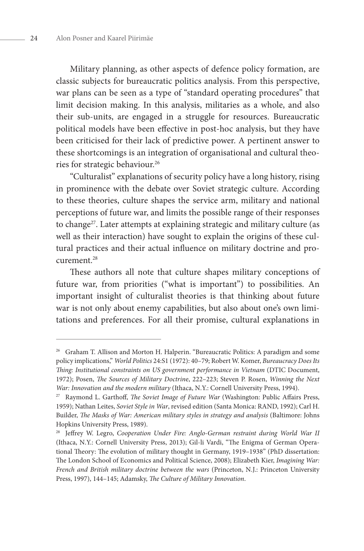Military planning, as other aspects of defence policy formation, are classic subjects for bureaucratic politics analysis. From this perspective, war plans can be seen as a type of "standard operating procedures" that limit decision making. In this analysis, militaries as a whole, and also their sub-units, are engaged in a struggle for resources. Bureaucratic political models have been effective in post-hoc analysis, but they have been criticised for their lack of predictive power. A pertinent answer to these shortcomings is an integration of organisational and cultural theories for strategic behaviour.26

"Culturalist" explanations of security policy have a long history, rising in prominence with the debate over Soviet strategic culture. According to these theories, culture shapes the service arm, military and national perceptions of future war, and limits the possible range of their responses to change<sup>27</sup>. Later attempts at explaining strategic and military culture (as well as their interaction) have sought to explain the origins of these cultural practices and their actual influence on military doctrine and procurement.28

These authors all note that culture shapes military conceptions of future war, from priorities ("what is important") to possibilities. An important insight of culturalist theories is that thinking about future war is not only about enemy capabilities, but also about one's own limitations and preferences. For all their promise, cultural explanations in

<sup>&</sup>lt;sup>26</sup> Graham T. Allison and Morton H. Halperin. "Bureaucratic Politics: A paradigm and some policy implications," *World Politics* 24:S1 (1972): 40–79; Robert W. Komer, *Bureaucracy Does Its Thing: Institutional constraints on US government performance in Vietnam* (DTIC Document, 1972); Posen, *The Sources of Military Doctrin*e, 222–223; Steven P. Rosen, *Winning the Next War: Innovation and the modern military* (Ithaca, N.Y.: Cornell University Press, 1994).

<sup>&</sup>lt;sup>27</sup> Raymond L. Garthoff, *The Soviet Image of Future War* (Washington: Public Affairs Press, 1959); Nathan Leites, *Soviet Style in War*, revised edition (Santa Monica: RAND, 1992); Carl H. Builder, *The Masks of War: American military styles in strategy and analysis* (Baltimore: Johns Hopkins University Press, 1989).

<sup>28</sup> Jeffrey W. Legro, *Cooperation Under Fire: Anglo-German restraint during World War II* (Ithaca, N.Y.: Cornell University Press, 2013); Gil-li Vardi, "The Enigma of German Operational Theory: The evolution of military thought in Germany, 1919–1938" (PhD dissertation: The London School of Economics and Political Science, 2008); Elizabeth Kier, *Imagining War: French and British military doctrine between the wars* (Princeton, N.J.: Princeton University Press, 1997), 144–145; Adamsky, *The Culture of Military Innovation*.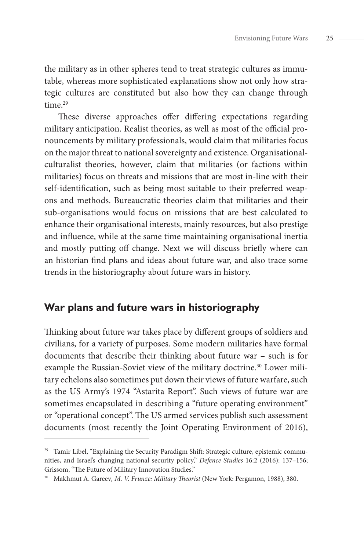the military as in other spheres tend to treat strategic cultures as immutable, whereas more sophisticated explanations show not only how strategic cultures are constituted but also how they can change through time<sup>29</sup>

These diverse approaches offer differing expectations regarding military anticipation. Realist theories, as well as most of the official pronouncements by military professionals, would claim that militaries focus on the major threat to national sovereignty and existence. Organisationalculturalist theories, however, claim that militaries (or factions within militaries) focus on threats and missions that are most in-line with their self-identification, such as being most suitable to their preferred weapons and methods. Bureaucratic theories claim that militaries and their sub-organisations would focus on missions that are best calculated to enhance their organisational interests, mainly resources, but also prestige and influence, while at the same time maintaining organisational inertia and mostly putting off change. Next we will discuss briefly where can an historian find plans and ideas about future war, and also trace some trends in the historiography about future wars in history.

## **War plans and future wars in historiography**

Thinking about future war takes place by different groups of soldiers and civilians, for a variety of purposes. Some modern militaries have formal documents that describe their thinking about future war – such is for example the Russian-Soviet view of the military doctrine.<sup>30</sup> Lower military echelons also sometimes put down their views of future warfare, such as the US Army's 1974 "Astarita Report". Such views of future war are sometimes encapsulated in describing a "future operating environment" or "operational concept". The US armed services publish such assessment documents (most recently the Joint Operating Environment of 2016),

<sup>&</sup>lt;sup>29</sup> Tamir Libel, "Explaining the Security Paradigm Shift: Strategic culture, epistemic communities, and Israel's changing national security policy," *Defence Studies* 16:2 (2016): 137–156; Grissom, "The Future of Military Innovation Studies."

<sup>30</sup> Makhmut A. Gareev*, M. V. Frunze: Military Theorist* (New York: Pergamon, 1988), 380.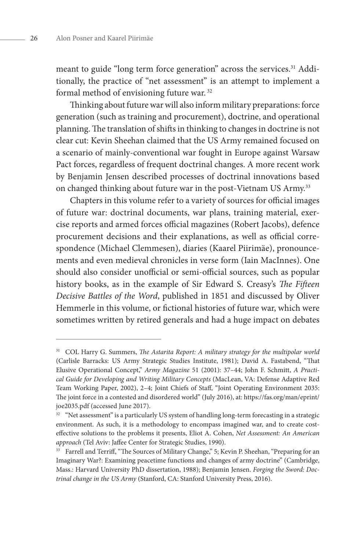meant to guide "long term force generation" across the services.<sup>31</sup> Additionally, the practice of "net assessment" is an attempt to implement a formal method of envisioning future war. 32

Thinking about future war will also inform military preparations: force generation (such as training and procurement), doctrine, and operational planning. The translation of shifts in thinking to changes in doctrine is not clear cut: Kevin Sheehan claimed that the US Army remained focused on a scenario of mainly-conventional war fought in Europe against Warsaw Pact forces, regardless of frequent doctrinal changes. A more recent work by Benjamin Jensen described processes of doctrinal innovations based on changed thinking about future war in the post-Vietnam US Army.<sup>33</sup>

Chapters in this volume refer to a variety of sources for official images of future war: doctrinal documents, war plans, training material, exercise reports and armed forces official magazines (Robert Jacobs), defence procurement decisions and their explanations, as well as official correspondence (Michael Clemmesen), diaries (Kaarel Piirimäe), pronouncements and even medieval chronicles in verse form (Iain MacInnes). One should also consider unofficial or semi-official sources, such as popular history books, as in the example of Sir Edward S. Creasy's *The Fifteen Decisive Battles of the Word*, published in 1851 and discussed by Oliver Hemmerle in this volume, or fictional histories of future war, which were sometimes written by retired generals and had a huge impact on debates

<sup>31</sup> COL Harry G. Summers, *The Astarita Report: A military strategy for the multipolar world* (Carlisle Barracks: US Army Strategic Studies Institute, 1981); David A. Fastabend, "That Elusive Operational Concept," *Army Magazine* 51 (2001): 37–44; John F. Schmitt, *A Practical Guide for Developing and Writing Military Concepts* (MacLean, VA: Defense Adaptive Red Team Working Paper, 2002), 2–4; Joint Chiefs of Staff, "Joint Operating Environment 2035: The joint force in a contested and disordered world" (July 2016), at: https://fas.org/man/eprint/ joe2035.pdf (accessed June 2017).

<sup>&</sup>lt;sup>32</sup> "Net assessment" is a particularly US system of handling long-term forecasting in a strategic environment. As such, it is a methodology to encompass imagined war, and to create costeffective solutions to the problems it presents, Eliot A. Cohen, *Net Assessment: An American approach* (Tel Aviv: Jaffee Center for Strategic Studies, 1990).

<sup>&</sup>lt;sup>33</sup> Farrell and Terriff, "The Sources of Military Change," 5; Kevin P. Sheehan, "Preparing for an Imaginary War?: Examining peacetime functions and changes of army doctrine" (Cambridge, Mass.: Harvard University PhD dissertation, 1988); Benjamin Jensen. *Forging the Sword: Doctrinal change in the US Army* (Stanford, CA: Stanford University Press, 2016).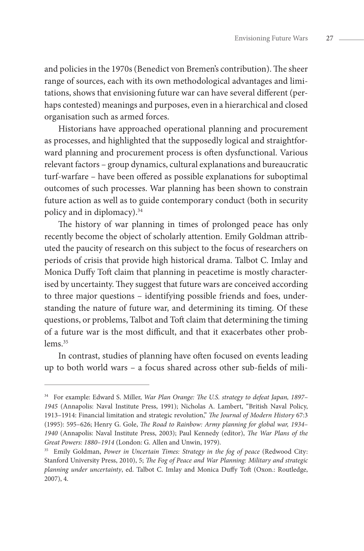and policies in the 1970s (Benedict von Bremen's contribution). The sheer range of sources, each with its own methodological advantages and limitations, shows that envisioning future war can have several different (perhaps contested) meanings and purposes, even in a hierarchical and closed organisation such as armed forces.

Historians have approached operational planning and procurement as processes, and highlighted that the supposedly logical and straightforward planning and procurement process is often dysfunctional. Various relevant factors – group dynamics, cultural explanations and bureaucratic turf-warfare – have been offered as possible explanations for suboptimal outcomes of such processes. War planning has been shown to constrain future action as well as to guide contemporary conduct (both in security policy and in diplomacy).34

The history of war planning in times of prolonged peace has only recently become the object of scholarly attention. Emily Goldman attributed the paucity of research on this subject to the focus of researchers on periods of crisis that provide high historical drama. Talbot C. Imlay and Monica Duffy Toft claim that planning in peacetime is mostly characterised by uncertainty. They suggest that future wars are conceived according to three major questions – identifying possible friends and foes, understanding the nature of future war, and determining its timing. Of these questions, or problems, Talbot and Toft claim that determining the timing of a future war is the most difficult, and that it exacerbates other problems<sup>35</sup>

In contrast, studies of planning have often focused on events leading up to both world wars – a focus shared across other sub-fields of mili-

<sup>34</sup> For example: Edward S. Miller, *War Plan Orange: The U.S. strategy to defeat Japan, 1897– 1945* (Annapolis: Naval Institute Press, 1991); Nicholas A. Lambert, "British Naval Policy, 1913–1914: Financial limitation and strategic revolution," *The Journal of Modern History* 67:3 (1995): 595–626; Henry G. Gole, *The Road to Rainbow: Army planning for global war, 1934– 1940* (Annapolis: Naval Institute Press, 2003); Paul Kennedy (editor), *The War Plans of the Great Powers: 1880–1914* (London: G. Allen and Unwin, 1979).

<sup>35</sup> Emily Goldman, *Power in Uncertain Times: Strategy in the fog of peace* (Redwood City: Stanford University Press, 2010), 5; *The Fog of Peace and War Planning: Military and strategic planning under uncertainty*, ed. Talbot C. Imlay and Monica Duffy Toft (Oxon.: Routledge, 2007), 4.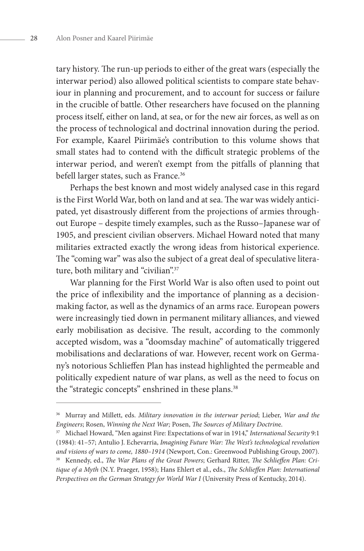tary history. The run-up periods to either of the great wars (especially the interwar period) also allowed political scientists to compare state behaviour in planning and procurement, and to account for success or failure in the crucible of battle. Other researchers have focused on the planning process itself, either on land, at sea, or for the new air forces, as well as on the process of technological and doctrinal innovation during the period. For example, Kaarel Piirimäe's contribution to this volume shows that small states had to contend with the difficult strategic problems of the interwar period, and weren't exempt from the pitfalls of planning that befell larger states, such as France.<sup>36</sup>

Perhaps the best known and most widely analysed case in this regard is the First World War, both on land and at sea. The war was widely anticipated, yet disastrously different from the projections of armies throughout Europe – despite timely examples, such as the Russo–Japanese war of 1905, and prescient civilian observers. Michael Howard noted that many militaries extracted exactly the wrong ideas from historical experience. The "coming war" was also the subject of a great deal of speculative literature, both military and "civilian".<sup>37</sup>

War planning for the First World War is also often used to point out the price of inflexibility and the importance of planning as a decisionmaking factor, as well as the dynamics of an arms race. European powers were increasingly tied down in permanent military alliances, and viewed early mobilisation as decisive. The result, according to the commonly accepted wisdom, was a "doomsday machine" of automatically triggered mobilisations and declarations of war. However, recent work on Germany's notorious Schlieffen Plan has instead highlighted the permeable and politically expedient nature of war plans, as well as the need to focus on the "strategic concepts" enshrined in these plans.<sup>38</sup>

<sup>36</sup> Murray and Millett, eds. *Military innovation in the interwar period*; Lieber, *War and the Engineers*; Rosen, *Winning the Next War;* Posen, *The Sources of Military Doctrin*e.

<sup>&</sup>lt;sup>37</sup> Michael Howard, "Men against Fire: Expectations of war in 1914," *International Security* 9:1 (1984): 41–57; Antulio J. Echevarria, *Imagining Future War: The West's technological revolution and visions of wars to come, 1880–1914* (Newport, Con.: Greenwood Publishing Group, 2007). <sup>38</sup> Kennedy, ed., *The War Plans of the Great Powers*; Gerhard Ritter, *The Schlieffen Plan: Critique of a Myth* (N.Y. Praeger, 1958); Hans Ehlert et al., eds., *The Schlieffen Plan: International Perspectives on the German Strategy for World War I* (University Press of Kentucky, 2014).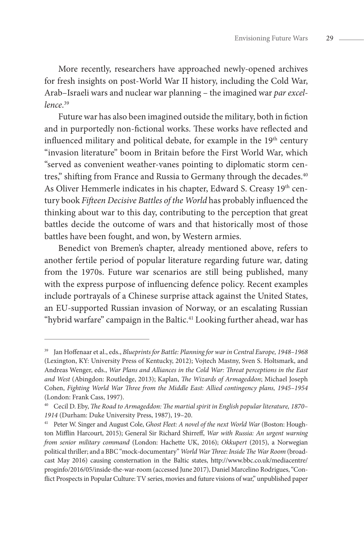More recently, researchers have approached newly-opened archives for fresh insights on post-World War II history, including the Cold War, Arab–Israeli wars and nuclear war planning – the imagined war *par excellence*. 39

Future war has also been imagined outside the military, both in fiction and in purportedly non-fictional works. These works have reflected and influenced military and political debate, for example in the 19<sup>th</sup> century "invasion literature" boom in Britain before the First World War, which "served as convenient weather-vanes pointing to diplomatic storm centres," shifting from France and Russia to Germany through the decades.<sup>40</sup> As Oliver Hemmerle indicates in his chapter, Edward S. Creasy 19<sup>th</sup> century book *Fifteen Decisive Battles of the World* has probably influenced the thinking about war to this day, contributing to the perception that great battles decide the outcome of wars and that historically most of those battles have been fought, and won, by Western armies.

Benedict von Bremen's chapter, already mentioned above, refers to another fertile period of popular literature regarding future war, dating from the 1970s. Future war scenarios are still being published, many with the express purpose of influencing defence policy. Recent examples include portrayals of a Chinese surprise attack against the United States, an EU-supported Russian invasion of Norway, or an escalating Russian "hybrid warfare" campaign in the Baltic.<sup>41</sup> Looking further ahead, war has

<sup>39</sup> Jan Hoffenaar et al., eds., *Blueprints for Battle: Planning for war in Central Europe, 1948–1968* (Lexington, KY: University Press of Kentucky, 2012); Vojtech Mastny, Sven S. Holtsmark, and Andreas Wenger, eds., *War Plans and Alliances in the Cold War: Threat perceptions in the East and West* (Abingdon: Routledge, 2013); Kaplan, *The Wizards of Armageddon*; Michael Joseph Cohen, *Fighting World War Three from the Middle East: Allied contingency plans, 1945–1954* (London: Frank Cass, 1997).

<sup>40</sup> Cecil D. Eby, *The Road to Armageddon: The martial spirit in English popular literature, 1870– 1914* (Durham: Duke University Press, 1987), 19–20.

<sup>41</sup> Peter W. Singer and August Cole, *Ghost Fleet: A novel of the next World War* (Boston: Houghton Mifflin Harcourt, 2015); General Sir Richard Shirreff, *War with Russia: An urgent warning from senior military command* (London: Hachette UK, 2016); *Okkupert* (2015), a Norwegian political thriller; and a BBC "mock-documentary" *World War Three: Inside The War Room* (broadcast May 2016) causing consternation in the Baltic states, http://www.bbc.co.uk/mediacentre/ proginfo/2016/05/inside-the-war-room (accessed June 2017), Daniel Marcelino Rodrigues, "Conflict Prospects in Popular Culture: TV series, movies and future visions of war," unpublished paper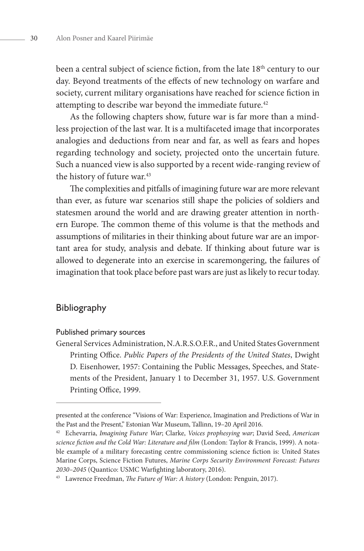been a central subject of science fiction, from the late 18<sup>th</sup> century to our day. Beyond treatments of the effects of new technology on warfare and society, current military organisations have reached for science fiction in attempting to describe war beyond the immediate future.<sup>42</sup>

As the following chapters show, future war is far more than a mindless projection of the last war. It is a multifaceted image that incorporates analogies and deductions from near and far, as well as fears and hopes regarding technology and society, projected onto the uncertain future. Such a nuanced view is also supported by a recent wide-ranging review of the history of future war.<sup>43</sup>

The complexities and pitfalls of imagining future war are more relevant than ever, as future war scenarios still shape the policies of soldiers and statesmen around the world and are drawing greater attention in northern Europe. The common theme of this volume is that the methods and assumptions of militaries in their thinking about future war are an important area for study, analysis and debate. If thinking about future war is allowed to degenerate into an exercise in scaremongering, the failures of imagination that took place before past wars are just as likely to recur today.

#### Bibliography

#### Published primary sources

General Services Administration, N.A.R.S.O.F.R., and United States Government Printing Office. *Public Papers of the Presidents of the United States*, Dwight D. Eisenhower, 1957: Containing the Public Messages, Speeches, and Statements of the President, January 1 to December 31, 1957. U.S. Government Printing Office, 1999.

presented at the conference "Visions of War: Experience, Imagination and Predictions of War in the Past and the Present," Estonian War Museum, Tallinn, 19-20 April 2016.

<sup>42</sup> Echevarria, *Imagining Future War*; Clarke, *Voices prophesying war*; David Seed, *American science fiction and the Cold War: Literature and film* (London: Taylor & Francis, 1999). A notable example of a military forecasting centre commissioning science fiction is: United States Marine Corps, Science Fiction Futures, *Marine Corps Security Environment Forecast: Futures 2030–2045* (Quantico: USMC Warfighting laboratory, 2016).

<sup>43</sup> Lawrence Freedman, *The Future of War: A history* (London: Penguin, 2017).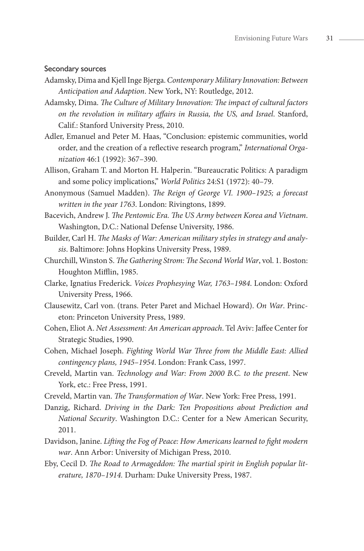#### Secondary sources

- Adamsky, Dima and Kjell Inge Bjerga. *Contemporary Military Innovation: Between Anticipation and Adaption*. New York, NY: Routledge, 2012.
- Adamsky, Dima. *The Culture of Military Innovation: The impact of cultural factors on the revolution in military affairs in Russia, the US, and Israel*. Stanford, Calif.: Stanford University Press, 2010.
- Adler, Emanuel and Peter M. Haas, "Conclusion: epistemic communities, world order, and the creation of a reflective research program," *International Organization* 46:1 (1992): 367–390.
- Allison, Graham T. and Morton H. Halperin. "Bureaucratic Politics: A paradigm and some policy implications," *World Politics* 24:S1 (1972): 40–79.
- Anonymous (Samuel Madden). *The Reign of George VI. 1900–1925; a forecast written in the year 1763*. London: Rivingtons, 1899.
- Bacevich, Andrew J. *The Pentomic Era. The US Army between Korea and Vietnam*. Washington, D.C.: National Defense University, 1986.
- Builder, Carl H. *The Masks of War: American military styles in strategy and analysis*. Baltimore: Johns Hopkins University Press, 1989.
- Churchill, Winston S. *The Gathering Strom: The Second World War*, vol. 1. Boston: Houghton Mifflin, 1985.
- Clarke, Ignatius Frederick. *Voices Prophesying War, 1763–1984*. London: Oxford University Press, 1966.
- Clausewitz, Carl von. (trans. Peter Paret and Michael Howard). *On War*. Princeton: Princeton University Press, 1989.
- Cohen, Eliot A. *Net Assessment: An American approach*. Tel Aviv: Jaffee Center for Strategic Studies, 1990.
- Cohen, Michael Joseph. *Fighting World War Three from the Middle East: Allied contingency plans, 1945–1954*. London: Frank Cass, 1997.
- Creveld, Martin van. *Technology and War: From 2000 B.C. to the present*. New York, etc.: Free Press, 1991.
- Creveld, Martin van. *The Transformation of War*. New York: Free Press, 1991.
- Danzig, Richard. *Driving in the Dark: Ten Propositions about Prediction and National Security*. Washington D.C.: Center for a New American Security, 2011.
- Davidson, Janine. *Lifting the Fog of Peace: How Americans learned to fight modern war*. Ann Arbor: University of Michigan Press, 2010.
- Eby, Cecil D. *The Road to Armageddon: The martial spirit in English popular literature, 1870–1914.* Durham: Duke University Press, 1987.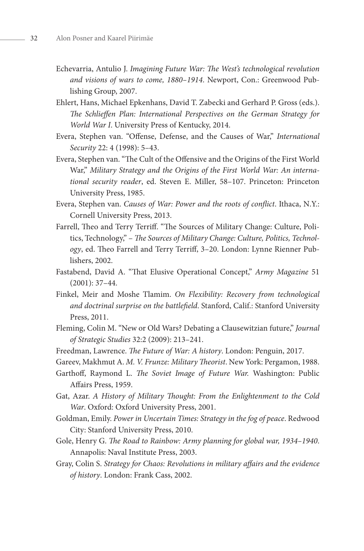- Echevarria, Antulio J. *Imagining Future War: The West's technological revolution and visions of wars to come, 1880–1914*. Newport, Con.: Greenwood Publishing Group, 2007.
- Ehlert, Hans, Michael Epkenhans, David T. Zabecki and Gerhard P. Gross (eds.). *The Schlieffen Plan: International Perspectives on the German Strategy for World War I*. University Press of Kentucky, 2014.
- Evera, Stephen van. "Offense, Defense, and the Causes of War," *International Security* 22: 4 (1998): 5–43.
- Evera, Stephen van. "The Cult of the Offensive and the Origins of the First World War," *Military Strategy and the Origins of the First World War: An international security reader*, ed. Steven E. Miller, 58–107. Princeton: Princeton University Press, 1985.
- Evera, Stephen van. *Causes of War: Power and the roots of conflict*. Ithaca, N.Y.: Cornell University Press, 2013.
- Farrell, Theo and Terry Terriff. "The Sources of Military Change: Culture, Politics, Technology," – *The Sources of Military Change: Culture, Politics, Technology*, ed. Theo Farrell and Terry Terriff, 3–20. London: Lynne Rienner Publishers, 2002.
- Fastabend, David A. "That Elusive Operational Concept," *Army Magazine* 51 (2001): 37–44.
- Finkel, Meir and Moshe Tlamim. *On Flexibility: Recovery from technological and doctrinal surprise on the battlefield*. Stanford, Calif.: Stanford University Press, 2011.
- Fleming, Colin M. "New or Old Wars? Debating a Clausewitzian future," *Journal of Strategic Studies* 32:2 (2009): 213–241.
- Freedman, Lawrence. *The Future of War: A history*. London: Penguin, 2017.
- Gareev, Makhmut A. *M. V. Frunze: Military Theorist*. New York: Pergamon, 1988.
- Garthoff, Raymond L. *The Soviet Image of Future War.* Washington: Public Affairs Press, 1959.
- Gat, Azar. *A History of Military Thought: From the Enlightenment to the Cold War*. Oxford: Oxford University Press, 2001.
- Goldman, Emily. *Power in Uncertain Times: Strategy in the fog of peace*. Redwood City: Stanford University Press, 2010.
- Gole, Henry G. *The Road to Rainbow: Army planning for global war, 1934–1940*. Annapolis: Naval Institute Press, 2003.
- Gray, Colin S. *Strategy for Chaos: Revolutions in military affairs and the evidence of history*. London: Frank Cass, 2002.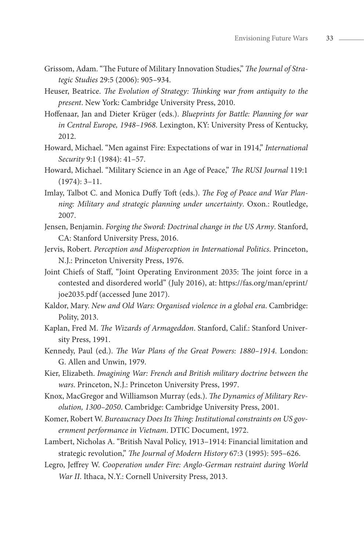- Grissom, Adam. "The Future of Military Innovation Studies," *The Journal of Strategic Studies* 29:5 (2006): 905–934.
- Heuser, Beatrice. *The Evolution of Strategy: Thinking war from antiquity to the present*. New York: Cambridge University Press, 2010.
- Hoffenaar, Jan and Dieter Krüger (eds.). *Blueprints for Battle: Planning for war in Central Europe, 1948–1968*. Lexington, KY: University Press of Kentucky, 2012.
- Howard, Michael. "Men against Fire: Expectations of war in 1914," *International Security* 9:1 (1984): 41–57.
- Howard, Michael. "Military Science in an Age of Peace," *The RUSI Journal* 119:1 (1974): 3–11.
- Imlay, Talbot C. and Monica Duffy Toft (eds.). *The Fog of Peace and War Planning: Military and strategic planning under uncertainty*. Oxon.: Routledge, 2007.
- Jensen, Benjamin. *Forging the Sword: Doctrinal change in the US Army*. Stanford, CA: Stanford University Press, 2016.
- Jervis, Robert. *Perception and Misperception in International Politics*. Princeton, N.J.: Princeton University Press, 1976.
- Joint Chiefs of Staff, "Joint Operating Environment 2035: The joint force in a contested and disordered world" (July 2016), at: https://fas.org/man/eprint/ joe2035.pdf (accessed June 2017).
- Kaldor, Mary. *New and Old Wars: Organised violence in a global era*. Cambridge: Polity, 2013.
- Kaplan, Fred M. *The Wizards of Armageddon*. Stanford, Calif.: Stanford University Press, 1991.
- Kennedy, Paul (ed.). *The War Plans of the Great Powers: 1880–1914*. London: G. Allen and Unwin, 1979.
- Kier, Elizabeth. *Imagining War: French and British military doctrine between the wars*. Princeton, N.J.: Princeton University Press, 1997.
- Knox, MacGregor and Williamson Murray (eds.). *The Dynamics of Military Revolution, 1300–2050*. Cambridge: Cambridge University Press, 2001.
- Komer, Robert W. *Bureaucracy Does Its Thing: Institutional constraints on US government performance in Vietnam*. DTIC Document, 1972.
- Lambert, Nicholas A. "British Naval Policy, 1913–1914: Financial limitation and strategic revolution," *The Journal of Modern History* 67:3 (1995): 595–626.
- Legro, Jeffrey W. *Cooperation under Fire: Anglo-German restraint during World War II*. Ithaca, N.Y.: Cornell University Press, 2013.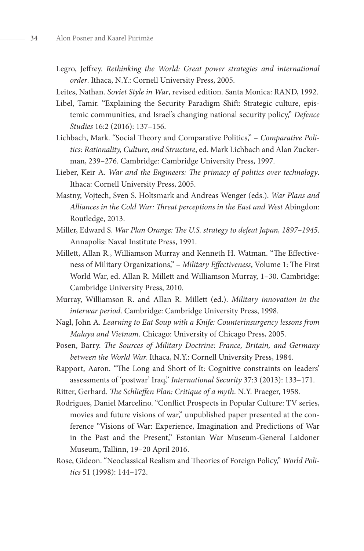- Legro, Jeffrey. *Rethinking the World: Great power strategies and international order*. Ithaca, N.Y.: Cornell University Press, 2005.
- Leites, Nathan. *Soviet Style in War*, revised edition. Santa Monica: RAND, 1992.
- Libel, Tamir. "Explaining the Security Paradigm Shift: Strategic culture, epistemic communities, and Israel's changing national security policy," *Defence Studies* 16:2 (2016): 137–156.
- Lichbach, Mark. "Social Theory and Comparative Politics," *Comparative Politics: Rationality, Culture, and Structure*, ed. Mark Lichbach and Alan Zuckerman, 239–276. Cambridge: Cambridge University Press, 1997.
- Lieber, Keir A. *War and the Engineers: The primacy of politics over technology*. Ithaca: Cornell University Press, 2005.
- Mastny, Vojtech, Sven S. Holtsmark and Andreas Wenger (eds.). *War Plans and Alliances in the Cold War: Threat perceptions in the East and West* Abingdon: Routledge, 2013.
- Miller, Edward S. *War Plan Orange: The U.S. strategy to defeat Japan, 1897–1945*. Annapolis: Naval Institute Press, 1991.
- Millett, Allan R., Williamson Murray and Kenneth H. Watman. "The Effectiveness of Military Organizations," – *Military Effectiveness*, Volume 1: The First World War, ed. Allan R. Millett and Williamson Murray, 1–30. Cambridge: Cambridge University Press, 2010.
- Murray, Williamson R. and Allan R. Millett (ed.). *Military innovation in the interwar period*. Cambridge: Cambridge University Press, 1998.
- Nagl, John A. *Learning to Eat Soup with a Knife: Counterinsurgency lessons from Malaya and Vietnam*. Chicago: University of Chicago Press, 2005.
- Posen, Barry. *The Sources of Military Doctrine: France, Britain, and Germany between the World War.* Ithaca, N.Y.: Cornell University Press, 1984.
- Rapport, Aaron. "The Long and Short of It: Cognitive constraints on leaders' assessments of 'postwar' Iraq," *International Security* 37:3 (2013): 133–171.
- Ritter, Gerhard. *The Schlieffen Plan: Critique of a myth*. N.Y. Praeger, 1958.
- Rodrigues, Daniel Marcelino. "Conflict Prospects in Popular Culture: TV series, movies and future visions of war," unpublished paper presented at the conference "Visions of War: Experience, Imagination and Predictions of War in the Past and the Present," Estonian War Museum-General Laidoner Museum, Tallinn, 19–20 April 2016.
- Rose, Gideon. "Neoclassical Realism and Theories of Foreign Policy," *World Politics* 51 (1998): 144–172.